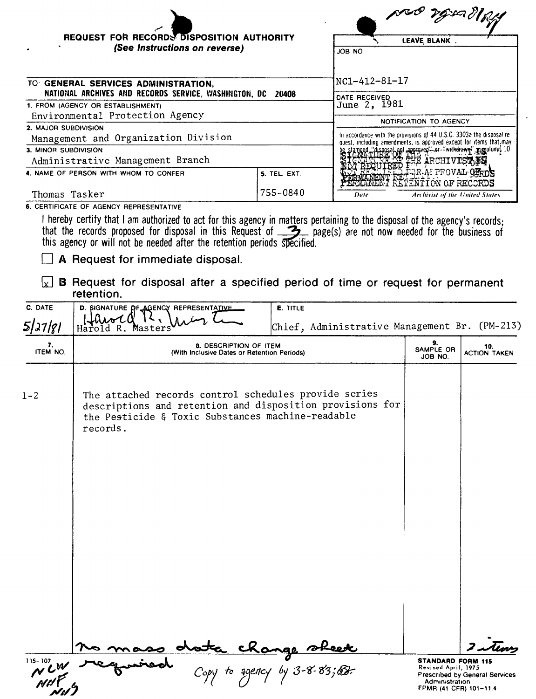|                      |                                                                                                                                                                                                                                                                                                                                                            |                                                                       |                                                                                                                                             | Maraba ossa                    |                            |
|----------------------|------------------------------------------------------------------------------------------------------------------------------------------------------------------------------------------------------------------------------------------------------------------------------------------------------------------------------------------------------------|-----------------------------------------------------------------------|---------------------------------------------------------------------------------------------------------------------------------------------|--------------------------------|----------------------------|
|                      | REQUEST FOR RECORDS DISPOSITION AUTHORITY                                                                                                                                                                                                                                                                                                                  |                                                                       | <b>LEAVE BLANK</b>                                                                                                                          |                                |                            |
|                      | (See Instructions on reverse)                                                                                                                                                                                                                                                                                                                              |                                                                       | JOB NO                                                                                                                                      |                                |                            |
|                      | TO GENERAL SERVICES ADMINISTRATION,                                                                                                                                                                                                                                                                                                                        |                                                                       | NC1-412-81-17                                                                                                                               |                                |                            |
|                      | NATIONAL ARCHIVES AND RECORDS SERVICE, WASHINGTON, DC<br>1. FROM (AGENCY OR ESTABLISHMENT)                                                                                                                                                                                                                                                                 | 20408                                                                 | DATE RECEIVED<br>June 2, 1981                                                                                                               |                                |                            |
|                      | Environmental Protection Agency                                                                                                                                                                                                                                                                                                                            |                                                                       |                                                                                                                                             |                                |                            |
| 2. MAJOR SUBDIVISION |                                                                                                                                                                                                                                                                                                                                                            |                                                                       |                                                                                                                                             | NOTIFICATION TO AGENCY         |                            |
|                      | Management and Organization Division                                                                                                                                                                                                                                                                                                                       |                                                                       | In accordance with the provisions of 44 U.S.C. 3303a the disposal re-<br>quest, including amendments, is approved except for items that may |                                |                            |
| 3. MINOR SUBDIVISION | Administrative Management Branch                                                                                                                                                                                                                                                                                                                           |                                                                       | stamped "disposal pet approved" or "withdrawn" assoluted 10                                                                                 |                                |                            |
|                      | 4. NAME OF PERSON WITH WHOM TO CONFER                                                                                                                                                                                                                                                                                                                      | 5. TEL. EXT.                                                          | STRUCT OF THE ARCHIVIST FO                                                                                                                  | MANENT REFERAI PROVAL OFFICIAL |                            |
|                      |                                                                                                                                                                                                                                                                                                                                                            |                                                                       |                                                                                                                                             | RETENTION OF RECORDS           |                            |
| Thomas Tasker        |                                                                                                                                                                                                                                                                                                                                                            | 755-0840                                                              | Date                                                                                                                                        | Archivist of the United States |                            |
|                      | <b>6. CERTIFICATE OF AGENCY REPRESENTATIVE</b>                                                                                                                                                                                                                                                                                                             |                                                                       |                                                                                                                                             |                                |                            |
|                      | I hereby certify that I am authorized to act for this agency in matters pertaining to the disposal of the agency's records;<br>that the records proposed for disposal in this Request of 3 page(s) are not now needed for the business of<br>this agency or will not be needed after the retention periods specified.<br>A Request for immediate disposal. |                                                                       |                                                                                                                                             |                                |                            |
| $\lfloor x \rfloor$  | B Request for disposal after a specified period of time or request for permanent<br>retention.                                                                                                                                                                                                                                                             |                                                                       |                                                                                                                                             |                                |                            |
| C. DATE<br>5/27/81   | D. SIGNATURE DF AGENCY REPRESENTATIVE<br>Hiwot<br>Harold R. Masters                                                                                                                                                                                                                                                                                        | E. TITLE                                                              | Chief, Administrative Management Br. (PM-213)                                                                                               |                                |                            |
| 7.<br>ITEM NO.       |                                                                                                                                                                                                                                                                                                                                                            | 8. DESCRIPTION OF ITEM<br>(With Inclusive Dates or Retention Periods) |                                                                                                                                             | 9.<br>SAMPLE OR<br>JOB NO.     | 10.<br><b>ACTION TAKEN</b> |
| $1 - 2$              | The attached records control schedules provide series<br>descriptions and retention and disposition provisions for<br>the Pesticide & Toxic Substances machine-readable<br>records,                                                                                                                                                                        |                                                                       |                                                                                                                                             |                                |                            |
|                      |                                                                                                                                                                                                                                                                                                                                                            | ota Change sheet<br>Copy to agency by 3-8-83; Bb.                     |                                                                                                                                             |                                |                            |

 $\ddot{\phantom{1}}$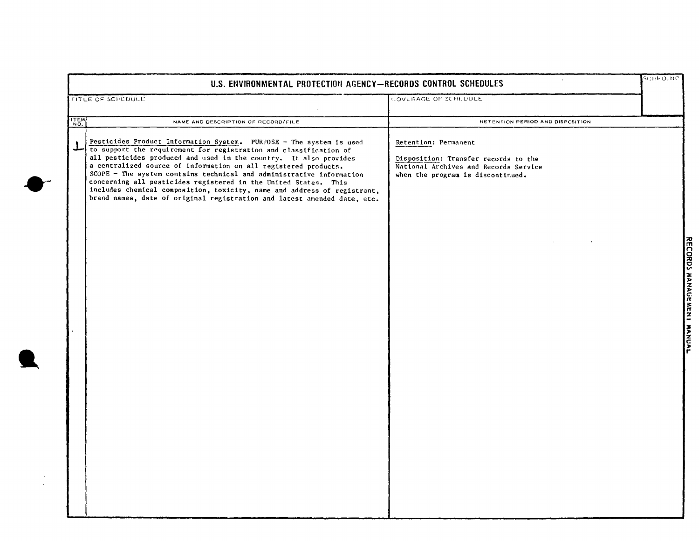|             | U.S. ENVIRONMENTAL PROTECTION AGENCY-RECORDS CONTROL SCHEDULES                                                                                                                                                                                                                                                                                                                                                                                                                                                                                                                      |                                                                                                                                            |  |  |  |
|-------------|-------------------------------------------------------------------------------------------------------------------------------------------------------------------------------------------------------------------------------------------------------------------------------------------------------------------------------------------------------------------------------------------------------------------------------------------------------------------------------------------------------------------------------------------------------------------------------------|--------------------------------------------------------------------------------------------------------------------------------------------|--|--|--|
|             | TITLE OF SCHEDULE                                                                                                                                                                                                                                                                                                                                                                                                                                                                                                                                                                   | <b>COVERAGE OF SCHLDULE</b>                                                                                                                |  |  |  |
| <b>ITEM</b> | NAME AND DESCRIPTION OF RECORD/FILE                                                                                                                                                                                                                                                                                                                                                                                                                                                                                                                                                 | RETENTION PERIOD AND DISPOSITION                                                                                                           |  |  |  |
| T           | Pesticides Product Information System. PURPOSE - The system is used<br>to support the requirement for registration and classification of<br>all pesticides produced and used in the country. It also provides<br>a centralized source of information on all registered products.<br>SCOPE - The system contains technical and administrative information<br>concerning all pesticides registered in the United States. This<br>includes chemical composition, toxicity, name and address of registrant,<br>brand names, date of original registration and latest amended date, etc. | Retention: Permanent<br>Disposition: Transfer records to the<br>National Archives and Records Service<br>when the program is discontinued. |  |  |  |
|             |                                                                                                                                                                                                                                                                                                                                                                                                                                                                                                                                                                                     |                                                                                                                                            |  |  |  |
|             |                                                                                                                                                                                                                                                                                                                                                                                                                                                                                                                                                                                     |                                                                                                                                            |  |  |  |
|             |                                                                                                                                                                                                                                                                                                                                                                                                                                                                                                                                                                                     |                                                                                                                                            |  |  |  |
|             |                                                                                                                                                                                                                                                                                                                                                                                                                                                                                                                                                                                     |                                                                                                                                            |  |  |  |
|             |                                                                                                                                                                                                                                                                                                                                                                                                                                                                                                                                                                                     |                                                                                                                                            |  |  |  |

 $\frac{1}{2}$